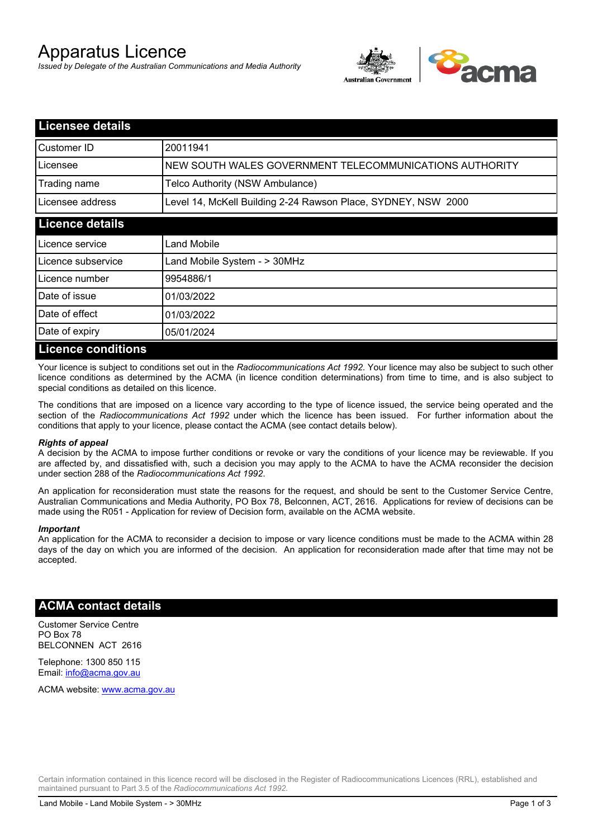# Apparatus Licence

*Issued by Delegate of the Australian Communications and Media Authority*



| <b>Licensee details</b>   |                                                               |
|---------------------------|---------------------------------------------------------------|
| <b>Customer ID</b>        | 20011941                                                      |
| Licensee                  | NEW SOUTH WALES GOVERNMENT TELECOMMUNICATIONS AUTHORITY       |
| Trading name              | Telco Authority (NSW Ambulance)                               |
| Licensee address          | Level 14, McKell Building 2-24 Rawson Place, SYDNEY, NSW 2000 |
| <b>Licence details</b>    |                                                               |
| Licence service           | Land Mobile                                                   |
| Licence subservice        | Land Mobile System - > 30MHz                                  |
| Licence number            | 9954886/1                                                     |
| Date of issue             | 01/03/2022                                                    |
| Date of effect            | 01/03/2022                                                    |
| Date of expiry            | 05/01/2024                                                    |
| <b>Licence conditions</b> |                                                               |

Your licence is subject to conditions set out in the *Radiocommunications Act 1992*. Your licence may also be subject to such other licence conditions as determined by the ACMA (in licence condition determinations) from time to time, and is also subject to special conditions as detailed on this licence.

The conditions that are imposed on a licence vary according to the type of licence issued, the service being operated and the section of the *Radiocommunications Act 1992* under which the licence has been issued. For further information about the conditions that apply to your licence, please contact the ACMA (see contact details below).

#### *Rights of appeal*

A decision by the ACMA to impose further conditions or revoke or vary the conditions of your licence may be reviewable. If you are affected by, and dissatisfied with, such a decision you may apply to the ACMA to have the ACMA reconsider the decision under section 288 of the *Radiocommunications Act 1992*.

An application for reconsideration must state the reasons for the request, and should be sent to the Customer Service Centre, Australian Communications and Media Authority, PO Box 78, Belconnen, ACT, 2616. Applications for review of decisions can be made using the R051 - Application for review of Decision form, available on the ACMA website.

#### *Important*

An application for the ACMA to reconsider a decision to impose or vary licence conditions must be made to the ACMA within 28 days of the day on which you are informed of the decision. An application for reconsideration made after that time may not be accepted.

#### **ACMA contact details**

Customer Service Centre PO Box 78 BELCONNEN ACT 2616

Telephone: 1300 850 115 Email: info@acma.gov.au

ACMA website: www.acma.gov.au

Certain information contained in this licence record will be disclosed in the Register of Radiocommunications Licences (RRL), established and maintained pursuant to Part 3.5 of the *Radiocommunications Act 1992.*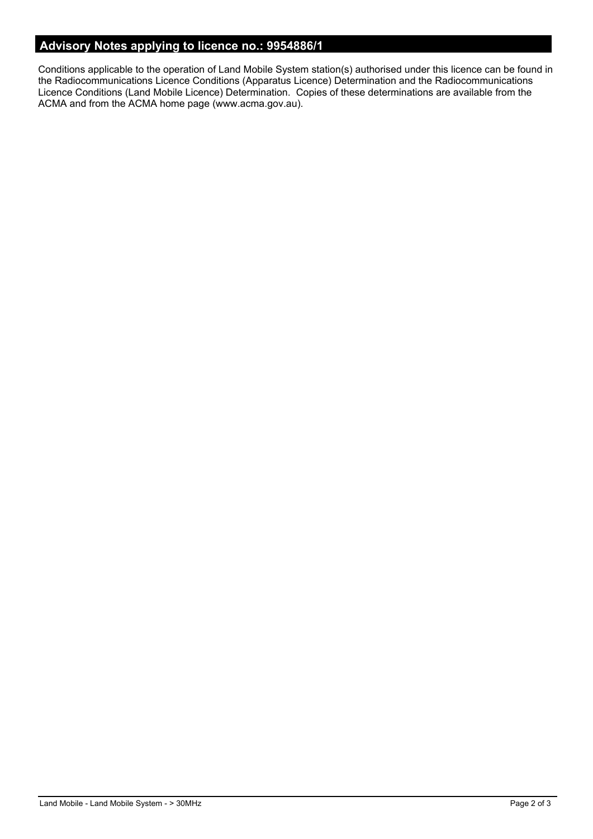# **Advisory Notes applying to licence no.: 9954886/1**

Conditions applicable to the operation of Land Mobile System station(s) authorised under this licence can be found in the Radiocommunications Licence Conditions (Apparatus Licence) Determination and the Radiocommunications Licence Conditions (Land Mobile Licence) Determination. Copies of these determinations are available from the ACMA and from the ACMA home page (www.acma.gov.au).